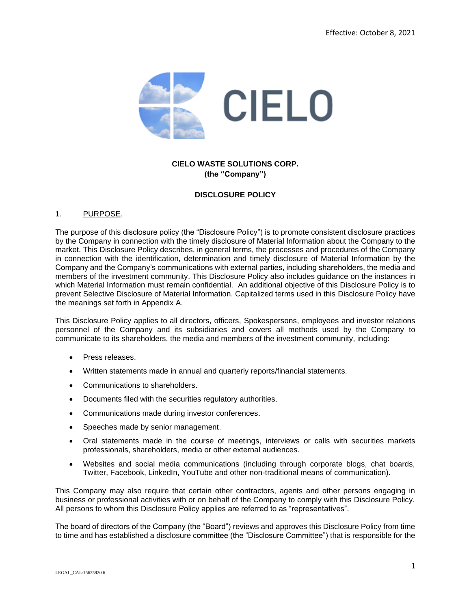

# **CIELO WASTE SOLUTIONS CORP. (the "Company")**

## **DISCLOSURE POLICY**

### 1. PURPOSE.

The purpose of this disclosure policy (the "Disclosure Policy") is to promote consistent disclosure practices by the Company in connection with the timely disclosure of Material Information about the Company to the market. This Disclosure Policy describes, in general terms, the processes and procedures of the Company in connection with the identification, determination and timely disclosure of Material Information by the Company and the Company's communications with external parties, including shareholders, the media and members of the investment community. This Disclosure Policy also includes guidance on the instances in which Material Information must remain confidential. An additional objective of this Disclosure Policy is to prevent Selective Disclosure of Material Information. Capitalized terms used in this Disclosure Policy have the meanings set forth in Appendix A.

This Disclosure Policy applies to all directors, officers, Spokespersons, employees and investor relations personnel of the Company and its subsidiaries and covers all methods used by the Company to communicate to its shareholders, the media and members of the investment community, including:

- Press releases.
- Written statements made in annual and quarterly reports/financial statements.
- Communications to shareholders.
- Documents filed with the securities regulatory authorities.
- Communications made during investor conferences.
- Speeches made by senior management.
- Oral statements made in the course of meetings, interviews or calls with securities markets professionals, shareholders, media or other external audiences.
- Websites and social media communications (including through corporate blogs, chat boards, Twitter, Facebook, LinkedIn, YouTube and other non-traditional means of communication).

This Company may also require that certain other contractors, agents and other persons engaging in business or professional activities with or on behalf of the Company to comply with this Disclosure Policy. All persons to whom this Disclosure Policy applies are referred to as "representatives".

The board of directors of the Company (the "Board") reviews and approves this Disclosure Policy from time to time and has established a disclosure committee (the "Disclosure Committee") that is responsible for the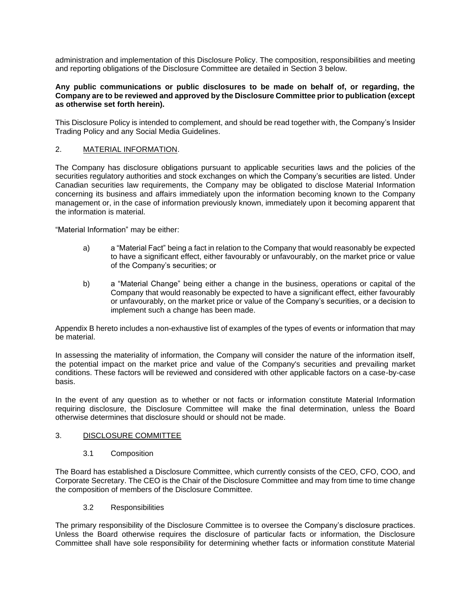administration and implementation of this Disclosure Policy. The composition, responsibilities and meeting and reporting obligations of the Disclosure Committee are detailed in Section [3](#page-1-0) below.

### **Any public communications or public disclosures to be made on behalf of, or regarding, the Company are to be reviewed and approved by the Disclosure Committee prior to publication (except as otherwise set forth herein).**

This Disclosure Policy is intended to complement, and should be read together with, the Company's Insider Trading Policy and any Social Media Guidelines.

### 2. MATERIAL INFORMATION.

The Company has disclosure obligations pursuant to applicable securities laws and the policies of the securities regulatory authorities and stock exchanges on which the Company's securities are listed. Under Canadian securities law requirements, the Company may be obligated to disclose Material Information concerning its business and affairs immediately upon the information becoming known to the Company management or, in the case of information previously known, immediately upon it becoming apparent that the information is material.

"Material Information" may be either:

- a) a "Material Fact" being a fact in relation to the Company that would reasonably be expected to have a significant effect, either favourably or unfavourably, on the market price or value of the Company's securities; or
- b) a "Material Change" being either a change in the business, operations or capital of the Company that would reasonably be expected to have a significant effect, either favourably or unfavourably, on the market price or value of the Company's securities, or a decision to implement such a change has been made.

Appendix B hereto includes a non-exhaustive list of examples of the types of events or information that may be material.

In assessing the materiality of information, the Company will consider the nature of the information itself, the potential impact on the market price and value of the Company's securities and prevailing market conditions. These factors will be reviewed and considered with other applicable factors on a case-by-case basis.

In the event of any question as to whether or not facts or information constitute Material Information requiring disclosure, the Disclosure Committee will make the final determination, unless the Board otherwise determines that disclosure should or should not be made.

### <span id="page-1-0"></span>3. DISCLOSURE COMMITTEE

### 3.1 Composition

The Board has established a Disclosure Committee, which currently consists of the CEO, CFO, COO, and Corporate Secretary. The CEO is the Chair of the Disclosure Committee and may from time to time change the composition of members of the Disclosure Committee.

### 3.2 Responsibilities

The primary responsibility of the Disclosure Committee is to oversee the Company's disclosure practices. Unless the Board otherwise requires the disclosure of particular facts or information, the Disclosure Committee shall have sole responsibility for determining whether facts or information constitute Material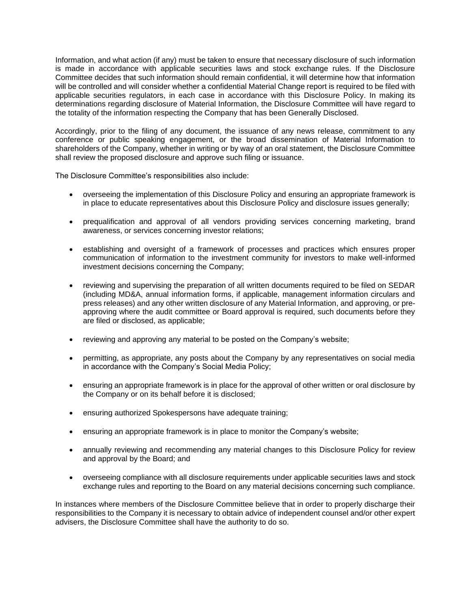Information, and what action (if any) must be taken to ensure that necessary disclosure of such information is made in accordance with applicable securities laws and stock exchange rules. If the Disclosure Committee decides that such information should remain confidential, it will determine how that information will be controlled and will consider whether a confidential Material Change report is required to be filed with applicable securities regulators, in each case in accordance with this Disclosure Policy. In making its determinations regarding disclosure of Material Information, the Disclosure Committee will have regard to the totality of the information respecting the Company that has been Generally Disclosed.

Accordingly, prior to the filing of any document, the issuance of any news release, commitment to any conference or public speaking engagement, or the broad dissemination of Material Information to shareholders of the Company, whether in writing or by way of an oral statement, the Disclosure Committee shall review the proposed disclosure and approve such filing or issuance.

The Disclosure Committee's responsibilities also include:

- overseeing the implementation of this Disclosure Policy and ensuring an appropriate framework is in place to educate representatives about this Disclosure Policy and disclosure issues generally;
- prequalification and approval of all vendors providing services concerning marketing, brand awareness, or services concerning investor relations;
- establishing and oversight of a framework of processes and practices which ensures proper communication of information to the investment community for investors to make well-informed investment decisions concerning the Company;
- reviewing and supervising the preparation of all written documents required to be filed on SEDAR (including MD&A, annual information forms, if applicable, management information circulars and press releases) and any other written disclosure of any Material Information, and approving, or preapproving where the audit committee or Board approval is required, such documents before they are filed or disclosed, as applicable;
- reviewing and approving any material to be posted on the Company's website;
- permitting, as appropriate, any posts about the Company by any representatives on social media in accordance with the Company's Social Media Policy;
- ensuring an appropriate framework is in place for the approval of other written or oral disclosure by the Company or on its behalf before it is disclosed;
- ensuring authorized Spokespersons have adequate training;
- ensuring an appropriate framework is in place to monitor the Company's website;
- annually reviewing and recommending any material changes to this Disclosure Policy for review and approval by the Board; and
- overseeing compliance with all disclosure requirements under applicable securities laws and stock exchange rules and reporting to the Board on any material decisions concerning such compliance.

In instances where members of the Disclosure Committee believe that in order to properly discharge their responsibilities to the Company it is necessary to obtain advice of independent counsel and/or other expert advisers, the Disclosure Committee shall have the authority to do so.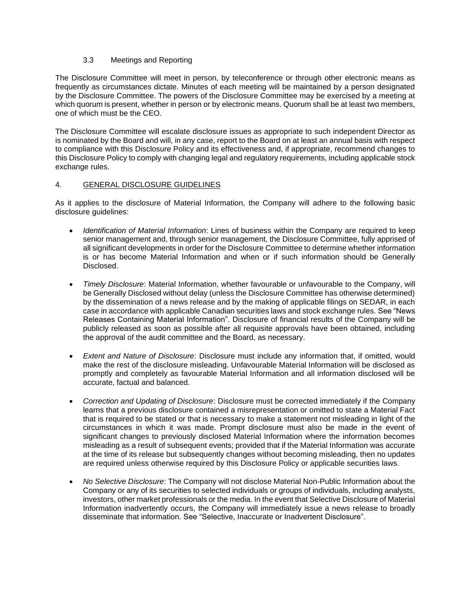### 3.3 Meetings and Reporting

The Disclosure Committee will meet in person, by teleconference or through other electronic means as frequently as circumstances dictate. Minutes of each meeting will be maintained by a person designated by the Disclosure Committee. The powers of the Disclosure Committee may be exercised by a meeting at which quorum is present, whether in person or by electronic means. Quorum shall be at least two members, one of which must be the CEO.

The Disclosure Committee will escalate disclosure issues as appropriate to such independent Director as is nominated by the Board and will, in any case, report to the Board on at least an annual basis with respect to compliance with this Disclosure Policy and its effectiveness and, if appropriate, recommend changes to this Disclosure Policy to comply with changing legal and regulatory requirements, including applicable stock exchange rules.

## 4. GENERAL DISCLOSURE GUIDELINES

As it applies to the disclosure of Material Information, the Company will adhere to the following basic disclosure guidelines:

- *Identification of Material Information*: Lines of business within the Company are required to keep senior management and, through senior management, the Disclosure Committee, fully apprised of all significant developments in order for the Disclosure Committee to determine whether information is or has become Material Information and when or if such information should be Generally Disclosed.
- *Timely Disclosure*: Material Information, whether favourable or unfavourable to the Company, will be Generally Disclosed without delay (unless the Disclosure Committee has otherwise determined) by the dissemination of a news release and by the making of applicable filings on SEDAR, in each case in accordance with applicable Canadian securities laws and stock exchange rules. See "News Releases Containing Material Information". Disclosure of financial results of the Company will be publicly released as soon as possible after all requisite approvals have been obtained, including the approval of the audit committee and the Board, as necessary.
- *Extent and Nature of Disclosure*: Disclosure must include any information that, if omitted, would make the rest of the disclosure misleading. Unfavourable Material Information will be disclosed as promptly and completely as favourable Material Information and all information disclosed will be accurate, factual and balanced.
- *Correction and Updating of Disclosure*: Disclosure must be corrected immediately if the Company learns that a previous disclosure contained a misrepresentation or omitted to state a Material Fact that is required to be stated or that is necessary to make a statement not misleading in light of the circumstances in which it was made. Prompt disclosure must also be made in the event of significant changes to previously disclosed Material Information where the information becomes misleading as a result of subsequent events; provided that if the Material Information was accurate at the time of its release but subsequently changes without becoming misleading, then no updates are required unless otherwise required by this Disclosure Policy or applicable securities laws.
- *No Selective Disclosure*: The Company will not disclose Material Non-Public Information about the Company or any of its securities to selected individuals or groups of individuals, including analysts, investors, other market professionals or the media. In the event that Selective Disclosure of Material Information inadvertently occurs, the Company will immediately issue a news release to broadly disseminate that information. See "Selective, Inaccurate or Inadvertent Disclosure".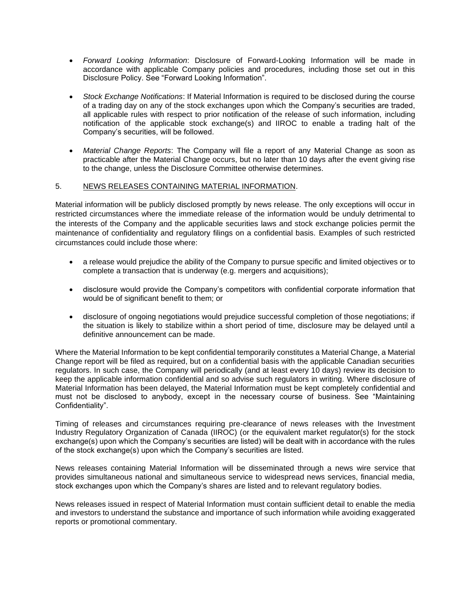- *Forward Looking Information*: Disclosure of Forward-Looking Information will be made in accordance with applicable Company policies and procedures, including those set out in this Disclosure Policy. See "Forward Looking Information".
- *Stock Exchange Notifications*: If Material Information is required to be disclosed during the course of a trading day on any of the stock exchanges upon which the Company's securities are traded, all applicable rules with respect to prior notification of the release of such information, including notification of the applicable stock exchange(s) and IIROC to enable a trading halt of the Company's securities, will be followed.
- *Material Change Reports*: The Company will file a report of any Material Change as soon as practicable after the Material Change occurs, but no later than 10 days after the event giving rise to the change, unless the Disclosure Committee otherwise determines.

## 5. NEWS RELEASES CONTAINING MATERIAL INFORMATION.

Material information will be publicly disclosed promptly by news release. The only exceptions will occur in restricted circumstances where the immediate release of the information would be unduly detrimental to the interests of the Company and the applicable securities laws and stock exchange policies permit the maintenance of confidentiality and regulatory filings on a confidential basis. Examples of such restricted circumstances could include those where:

- a release would prejudice the ability of the Company to pursue specific and limited objectives or to complete a transaction that is underway (e.g. mergers and acquisitions);
- disclosure would provide the Company's competitors with confidential corporate information that would be of significant benefit to them; or
- disclosure of ongoing negotiations would prejudice successful completion of those negotiations; if the situation is likely to stabilize within a short period of time, disclosure may be delayed until a definitive announcement can be made.

Where the Material Information to be kept confidential temporarily constitutes a Material Change, a Material Change report will be filed as required, but on a confidential basis with the applicable Canadian securities regulators. In such case, the Company will periodically (and at least every 10 days) review its decision to keep the applicable information confidential and so advise such regulators in writing. Where disclosure of Material Information has been delayed, the Material Information must be kept completely confidential and must not be disclosed to anybody, except in the necessary course of business. See "Maintaining Confidentiality".

Timing of releases and circumstances requiring pre-clearance of news releases with the Investment Industry Regulatory Organization of Canada (IIROC) (or the equivalent market regulator(s) for the stock exchange(s) upon which the Company's securities are listed) will be dealt with in accordance with the rules of the stock exchange(s) upon which the Company's securities are listed.

News releases containing Material Information will be disseminated through a news wire service that provides simultaneous national and simultaneous service to widespread news services, financial media, stock exchanges upon which the Company's shares are listed and to relevant regulatory bodies.

News releases issued in respect of Material Information must contain sufficient detail to enable the media and investors to understand the substance and importance of such information while avoiding exaggerated reports or promotional commentary.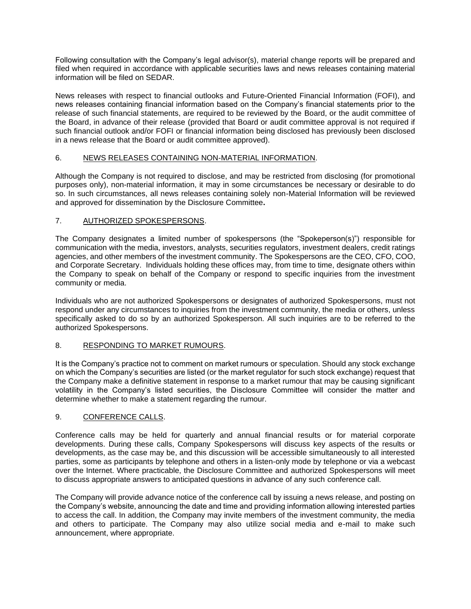Following consultation with the Company's legal advisor(s), material change reports will be prepared and filed when required in accordance with applicable securities laws and news releases containing material information will be filed on SEDAR.

News releases with respect to financial outlooks and Future-Oriented Financial Information (FOFI), and news releases containing financial information based on the Company's financial statements prior to the release of such financial statements, are required to be reviewed by the Board, or the audit committee of the Board, in advance of their release (provided that Board or audit committee approval is not required if such financial outlook and/or FOFI or financial information being disclosed has previously been disclosed in a news release that the Board or audit committee approved).

## 6. NEWS RELEASES CONTAINING NON-MATERIAL INFORMATION.

Although the Company is not required to disclose, and may be restricted from disclosing (for promotional purposes only), non-material information, it may in some circumstances be necessary or desirable to do so. In such circumstances, all news releases containing solely non-Material Information will be reviewed and approved for dissemination by the Disclosure Committee**.**

## 7. AUTHORIZED SPOKESPERSONS.

The Company designates a limited number of spokespersons (the "Spokeperson(s)") responsible for communication with the media, investors, analysts, securities regulators, investment dealers, credit ratings agencies, and other members of the investment community. The Spokespersons are the CEO, CFO, COO, and Corporate Secretary. Individuals holding these offices may, from time to time, designate others within the Company to speak on behalf of the Company or respond to specific inquiries from the investment community or media.

Individuals who are not authorized Spokespersons or designates of authorized Spokespersons, must not respond under any circumstances to inquiries from the investment community, the media or others, unless specifically asked to do so by an authorized Spokesperson. All such inquiries are to be referred to the authorized Spokespersons.

### 8. RESPONDING TO MARKET RUMOURS.

It is the Company's practice not to comment on market rumours or speculation. Should any stock exchange on which the Company's securities are listed (or the market regulator for such stock exchange) request that the Company make a definitive statement in response to a market rumour that may be causing significant volatility in the Company's listed securities, the Disclosure Committee will consider the matter and determine whether to make a statement regarding the rumour.

## 9. CONFERENCE CALLS.

Conference calls may be held for quarterly and annual financial results or for material corporate developments. During these calls, Company Spokespersons will discuss key aspects of the results or developments, as the case may be, and this discussion will be accessible simultaneously to all interested parties, some as participants by telephone and others in a listen-only mode by telephone or via a webcast over the Internet. Where practicable, the Disclosure Committee and authorized Spokespersons will meet to discuss appropriate answers to anticipated questions in advance of any such conference call.

The Company will provide advance notice of the conference call by issuing a news release, and posting on the Company's website, announcing the date and time and providing information allowing interested parties to access the call. In addition, the Company may invite members of the investment community, the media and others to participate. The Company may also utilize social media and e-mail to make such announcement, where appropriate.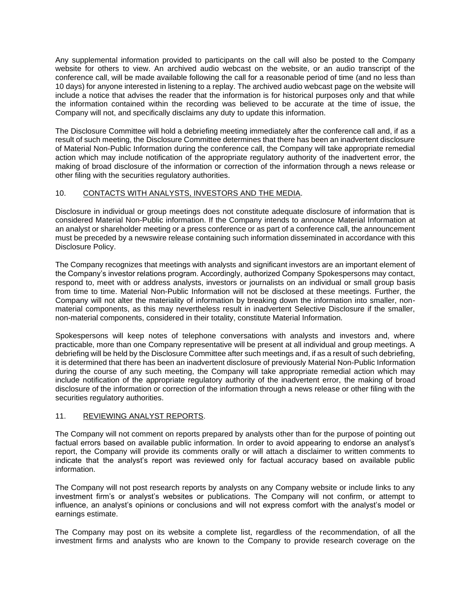Any supplemental information provided to participants on the call will also be posted to the Company website for others to view. An archived audio webcast on the website, or an audio transcript of the conference call, will be made available following the call for a reasonable period of time (and no less than 10 days) for anyone interested in listening to a replay. The archived audio webcast page on the website will include a notice that advises the reader that the information is for historical purposes only and that while the information contained within the recording was believed to be accurate at the time of issue, the Company will not, and specifically disclaims any duty to update this information.

The Disclosure Committee will hold a debriefing meeting immediately after the conference call and, if as a result of such meeting, the Disclosure Committee determines that there has been an inadvertent disclosure of Material Non-Public Information during the conference call, the Company will take appropriate remedial action which may include notification of the appropriate regulatory authority of the inadvertent error, the making of broad disclosure of the information or correction of the information through a news release or other filing with the securities regulatory authorities.

## 10. CONTACTS WITH ANALYSTS, INVESTORS AND THE MEDIA.

Disclosure in individual or group meetings does not constitute adequate disclosure of information that is considered Material Non-Public information. If the Company intends to announce Material Information at an analyst or shareholder meeting or a press conference or as part of a conference call, the announcement must be preceded by a newswire release containing such information disseminated in accordance with this Disclosure Policy.

The Company recognizes that meetings with analysts and significant investors are an important element of the Company's investor relations program. Accordingly, authorized Company Spokespersons may contact, respond to, meet with or address analysts, investors or journalists on an individual or small group basis from time to time. Material Non-Public Information will not be disclosed at these meetings. Further, the Company will not alter the materiality of information by breaking down the information into smaller, nonmaterial components, as this may nevertheless result in inadvertent Selective Disclosure if the smaller, non-material components, considered in their totality, constitute Material Information.

Spokespersons will keep notes of telephone conversations with analysts and investors and, where practicable, more than one Company representative will be present at all individual and group meetings. A debriefing will be held by the Disclosure Committee after such meetings and, if as a result of such debriefing, it is determined that there has been an inadvertent disclosure of previously Material Non-Public Information during the course of any such meeting, the Company will take appropriate remedial action which may include notification of the appropriate regulatory authority of the inadvertent error, the making of broad disclosure of the information or correction of the information through a news release or other filing with the securities regulatory authorities.

## 11. REVIEWING ANALYST REPORTS.

The Company will not comment on reports prepared by analysts other than for the purpose of pointing out factual errors based on available public information. In order to avoid appearing to endorse an analyst's report, the Company will provide its comments orally or will attach a disclaimer to written comments to indicate that the analyst's report was reviewed only for factual accuracy based on available public information.

The Company will not post research reports by analysts on any Company website or include links to any investment firm's or analyst's websites or publications. The Company will not confirm, or attempt to influence, an analyst's opinions or conclusions and will not express comfort with the analyst's model or earnings estimate.

The Company may post on its website a complete list, regardless of the recommendation, of all the investment firms and analysts who are known to the Company to provide research coverage on the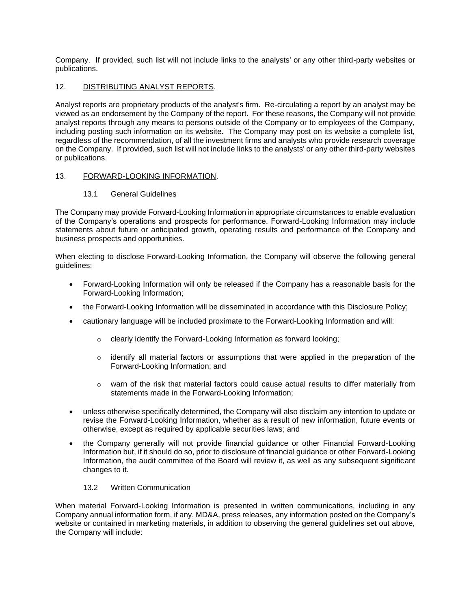Company. If provided, such list will not include links to the analysts' or any other third-party websites or publications.

## 12. DISTRIBUTING ANALYST REPORTS.

Analyst reports are proprietary products of the analyst's firm. Re-circulating a report by an analyst may be viewed as an endorsement by the Company of the report. For these reasons, the Company will not provide analyst reports through any means to persons outside of the Company or to employees of the Company, including posting such information on its website. The Company may post on its website a complete list, regardless of the recommendation, of all the investment firms and analysts who provide research coverage on the Company. If provided, such list will not include links to the analysts' or any other third-party websites or publications.

## 13. FORWARD-LOOKING INFORMATION.

## 13.1 General Guidelines

The Company may provide Forward-Looking Information in appropriate circumstances to enable evaluation of the Company's operations and prospects for performance. Forward-Looking Information may include statements about future or anticipated growth, operating results and performance of the Company and business prospects and opportunities.

When electing to disclose Forward-Looking Information, the Company will observe the following general guidelines:

- Forward-Looking Information will only be released if the Company has a reasonable basis for the Forward-Looking Information;
- the Forward-Looking Information will be disseminated in accordance with this Disclosure Policy;
- cautionary language will be included proximate to the Forward-Looking Information and will:
	- o clearly identify the Forward-Looking Information as forward looking;
	- o identify all material factors or assumptions that were applied in the preparation of the Forward-Looking Information; and
	- $\circ$  warn of the risk that material factors could cause actual results to differ materially from statements made in the Forward-Looking Information;
- unless otherwise specifically determined, the Company will also disclaim any intention to update or revise the Forward-Looking Information, whether as a result of new information, future events or otherwise, except as required by applicable securities laws; and
- the Company generally will not provide financial guidance or other Financial Forward-Looking Information but, if it should do so, prior to disclosure of financial guidance or other Forward-Looking Information, the audit committee of the Board will review it, as well as any subsequent significant changes to it.

### 13.2 Written Communication

When material Forward-Looking Information is presented in written communications, including in any Company annual information form, if any, MD&A, press releases, any information posted on the Company's website or contained in marketing materials, in addition to observing the general guidelines set out above, the Company will include: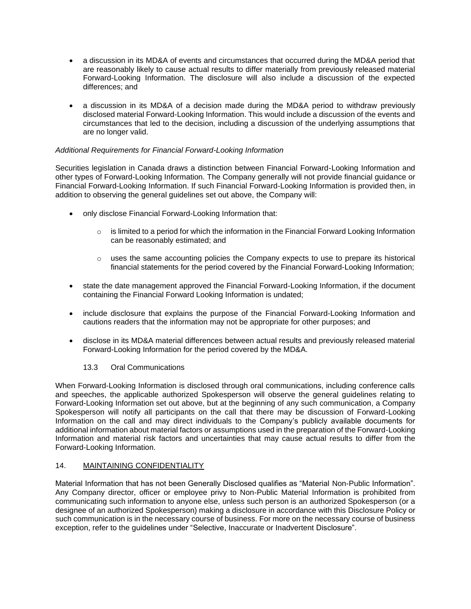- a discussion in its MD&A of events and circumstances that occurred during the MD&A period that are reasonably likely to cause actual results to differ materially from previously released material Forward-Looking Information. The disclosure will also include a discussion of the expected differences; and
- a discussion in its MD&A of a decision made during the MD&A period to withdraw previously disclosed material Forward-Looking Information. This would include a discussion of the events and circumstances that led to the decision, including a discussion of the underlying assumptions that are no longer valid.

## *Additional Requirements for Financial Forward-Looking Information*

Securities legislation in Canada draws a distinction between Financial Forward-Looking Information and other types of Forward-Looking Information. The Company generally will not provide financial guidance or Financial Forward-Looking Information. If such Financial Forward-Looking Information is provided then, in addition to observing the general guidelines set out above, the Company will:

- only disclose Financial Forward-Looking Information that:
	- $\circ$  is limited to a period for which the information in the Financial Forward Looking Information can be reasonably estimated; and
	- $\circ$  uses the same accounting policies the Company expects to use to prepare its historical financial statements for the period covered by the Financial Forward-Looking Information;
- state the date management approved the Financial Forward-Looking Information, if the document containing the Financial Forward Looking Information is undated;
- include disclosure that explains the purpose of the Financial Forward-Looking Information and cautions readers that the information may not be appropriate for other purposes; and
- disclose in its MD&A material differences between actual results and previously released material Forward-Looking Information for the period covered by the MD&A.
	- 13.3 Oral Communications

When Forward-Looking Information is disclosed through oral communications, including conference calls and speeches, the applicable authorized Spokesperson will observe the general guidelines relating to Forward-Looking Information set out above, but at the beginning of any such communication, a Company Spokesperson will notify all participants on the call that there may be discussion of Forward-Looking Information on the call and may direct individuals to the Company's publicly available documents for additional information about material factors or assumptions used in the preparation of the Forward-Looking Information and material risk factors and uncertainties that may cause actual results to differ from the Forward-Looking Information.

### 14. MAINTAINING CONFIDENTIALITY

Material Information that has not been Generally Disclosed qualifies as "Material Non-Public Information". Any Company director, officer or employee privy to Non-Public Material Information is prohibited from communicating such information to anyone else, unless such person is an authorized Spokesperson (or a designee of an authorized Spokesperson) making a disclosure in accordance with this Disclosure Policy or such communication is in the necessary course of business. For more on the necessary course of business exception, refer to the guidelines under "Selective, Inaccurate or Inadvertent Disclosure".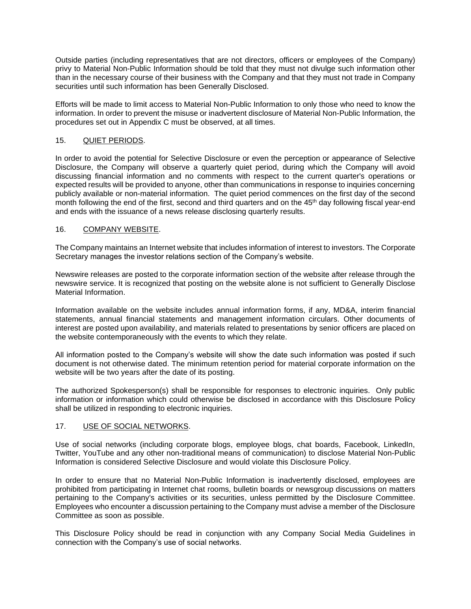Outside parties (including representatives that are not directors, officers or employees of the Company) privy to Material Non-Public Information should be told that they must not divulge such information other than in the necessary course of their business with the Company and that they must not trade in Company securities until such information has been Generally Disclosed.

Efforts will be made to limit access to Material Non-Public Information to only those who need to know the information. In order to prevent the misuse or inadvertent disclosure of Material Non-Public Information, the procedures set out in Appendix C must be observed, at all times.

## 15. QUIET PERIODS.

In order to avoid the potential for Selective Disclosure or even the perception or appearance of Selective Disclosure, the Company will observe a quarterly quiet period, during which the Company will avoid discussing financial information and no comments with respect to the current quarter's operations or expected results will be provided to anyone, other than communications in response to inquiries concerning publicly available or non-material information. The quiet period commences on the first day of the second month following the end of the first, second and third quarters and on the 45<sup>th</sup> day following fiscal year-end and ends with the issuance of a news release disclosing quarterly results.

## 16. COMPANY WEBSITE.

The Company maintains an Internet website that includes information of interest to investors. The Corporate Secretary manages the investor relations section of the Company's website.

Newswire releases are posted to the corporate information section of the website after release through the newswire service. It is recognized that posting on the website alone is not sufficient to Generally Disclose Material Information.

Information available on the website includes annual information forms, if any, MD&A, interim financial statements, annual financial statements and management information circulars. Other documents of interest are posted upon availability, and materials related to presentations by senior officers are placed on the website contemporaneously with the events to which they relate.

All information posted to the Company's website will show the date such information was posted if such document is not otherwise dated. The minimum retention period for material corporate information on the website will be two years after the date of its posting.

The authorized Spokesperson(s) shall be responsible for responses to electronic inquiries. Only public information or information which could otherwise be disclosed in accordance with this Disclosure Policy shall be utilized in responding to electronic inquiries.

### 17. USE OF SOCIAL NETWORKS.

Use of social networks (including corporate blogs, employee blogs, chat boards, Facebook, LinkedIn, Twitter, YouTube and any other non-traditional means of communication) to disclose Material Non-Public Information is considered Selective Disclosure and would violate this Disclosure Policy.

In order to ensure that no Material Non-Public Information is inadvertently disclosed, employees are prohibited from participating in Internet chat rooms, bulletin boards or newsgroup discussions on matters pertaining to the Company's activities or its securities, unless permitted by the Disclosure Committee. Employees who encounter a discussion pertaining to the Company must advise a member of the Disclosure Committee as soon as possible.

This Disclosure Policy should be read in conjunction with any Company Social Media Guidelines in connection with the Company's use of social networks.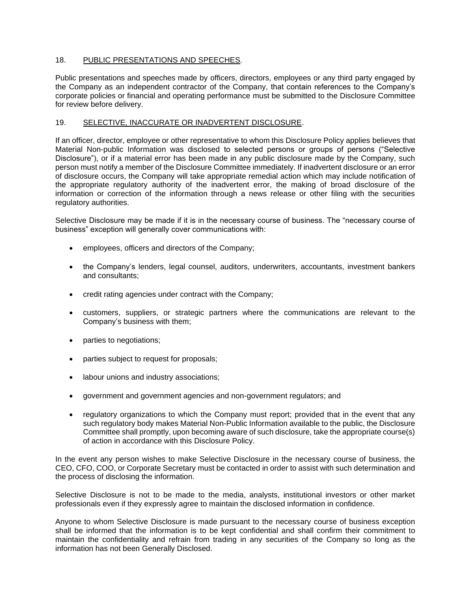### 18. PUBLIC PRESENTATIONS AND SPEECHES.

Public presentations and speeches made by officers, directors, employees or any third party engaged by the Company as an independent contractor of the Company, that contain references to the Company's corporate policies or financial and operating performance must be submitted to the Disclosure Committee for review before delivery.

## 19. SELECTIVE, INACCURATE OR INADVERTENT DISCLOSURE.

If an officer, director, employee or other representative to whom this Disclosure Policy applies believes that Material Non-public Information was disclosed to selected persons or groups of persons ("Selective Disclosure"), or if a material error has been made in any public disclosure made by the Company, such person must notify a member of the Disclosure Committee immediately. If inadvertent disclosure or an error of disclosure occurs, the Company will take appropriate remedial action which may include notification of the appropriate regulatory authority of the inadvertent error, the making of broad disclosure of the information or correction of the information through a news release or other filing with the securities regulatory authorities.

Selective Disclosure may be made if it is in the necessary course of business. The "necessary course of business" exception will generally cover communications with:

- employees, officers and directors of the Company;
- the Company's lenders, legal counsel, auditors, underwriters, accountants, investment bankers and consultants;
- credit rating agencies under contract with the Company;
- customers, suppliers, or strategic partners where the communications are relevant to the Company's business with them;
- parties to negotiations;
- parties subject to request for proposals;
- labour unions and industry associations;
- government and government agencies and non-government regulators; and
- regulatory organizations to which the Company must report; provided that in the event that any such regulatory body makes Material Non-Public Information available to the public, the Disclosure Committee shall promptly, upon becoming aware of such disclosure, take the appropriate course(s) of action in accordance with this Disclosure Policy.

In the event any person wishes to make Selective Disclosure in the necessary course of business, the CEO, CFO, COO, or Corporate Secretary must be contacted in order to assist with such determination and the process of disclosing the information.

Selective Disclosure is not to be made to the media, analysts, institutional investors or other market professionals even if they expressly agree to maintain the disclosed information in confidence.

Anyone to whom Selective Disclosure is made pursuant to the necessary course of business exception shall be informed that the information is to be kept confidential and shall confirm their commitment to maintain the confidentiality and refrain from trading in any securities of the Company so long as the information has not been Generally Disclosed.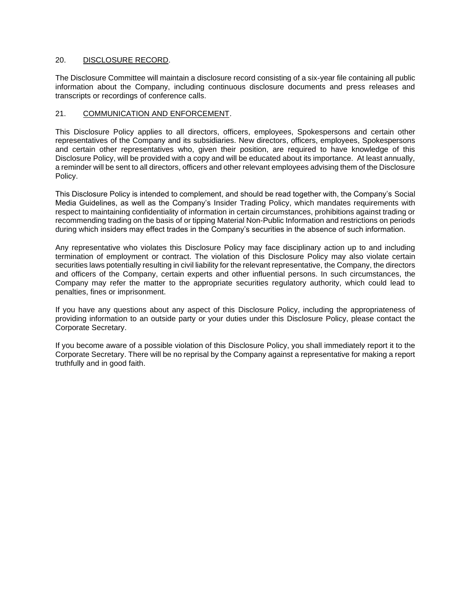### 20. DISCLOSURE RECORD.

The Disclosure Committee will maintain a disclosure record consisting of a six-year file containing all public information about the Company, including continuous disclosure documents and press releases and transcripts or recordings of conference calls.

### 21. COMMUNICATION AND ENFORCEMENT.

This Disclosure Policy applies to all directors, officers, employees, Spokespersons and certain other representatives of the Company and its subsidiaries. New directors, officers, employees, Spokespersons and certain other representatives who, given their position, are required to have knowledge of this Disclosure Policy, will be provided with a copy and will be educated about its importance. At least annually, a reminder will be sent to all directors, officers and other relevant employees advising them of the Disclosure Policy.

This Disclosure Policy is intended to complement, and should be read together with, the Company's Social Media Guidelines, as well as the Company's Insider Trading Policy, which mandates requirements with respect to maintaining confidentiality of information in certain circumstances, prohibitions against trading or recommending trading on the basis of or tipping Material Non-Public Information and restrictions on periods during which insiders may effect trades in the Company's securities in the absence of such information.

Any representative who violates this Disclosure Policy may face disciplinary action up to and including termination of employment or contract. The violation of this Disclosure Policy may also violate certain securities laws potentially resulting in civil liability for the relevant representative, the Company, the directors and officers of the Company, certain experts and other influential persons. In such circumstances, the Company may refer the matter to the appropriate securities regulatory authority, which could lead to penalties, fines or imprisonment.

If you have any questions about any aspect of this Disclosure Policy, including the appropriateness of providing information to an outside party or your duties under this Disclosure Policy, please contact the Corporate Secretary.

If you become aware of a possible violation of this Disclosure Policy, you shall immediately report it to the Corporate Secretary. There will be no reprisal by the Company against a representative for making a report truthfully and in good faith.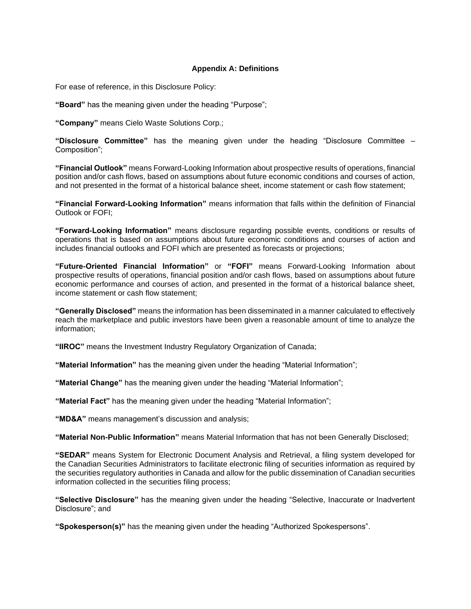### **Appendix A: Definitions**

For ease of reference, in this Disclosure Policy:

**"Board"** has the meaning given under the heading "Purpose";

**"Company"** means Cielo Waste Solutions Corp.;

**"Disclosure Committee"** has the meaning given under the heading "Disclosure Committee – Composition";

**"Financial Outlook"** means Forward-Looking Information about prospective results of operations, financial position and/or cash flows, based on assumptions about future economic conditions and courses of action, and not presented in the format of a historical balance sheet, income statement or cash flow statement;

**"Financial Forward-Looking Information"** means information that falls within the definition of Financial Outlook or FOFI;

**"Forward-Looking Information"** means disclosure regarding possible events, conditions or results of operations that is based on assumptions about future economic conditions and courses of action and includes financial outlooks and FOFI which are presented as forecasts or projections;

**"Future-Oriented Financial Information"** or **"FOFI"** means Forward-Looking Information about prospective results of operations, financial position and/or cash flows, based on assumptions about future economic performance and courses of action, and presented in the format of a historical balance sheet, income statement or cash flow statement;

**"Generally Disclosed"** means the information has been disseminated in a manner calculated to effectively reach the marketplace and public investors have been given a reasonable amount of time to analyze the information;

**"IIROC"** means the Investment Industry Regulatory Organization of Canada;

**"Material Information"** has the meaning given under the heading "Material Information";

**"Material Change"** has the meaning given under the heading "Material Information";

**"Material Fact"** has the meaning given under the heading "Material Information";

**"MD&A"** means management's discussion and analysis;

**"Material Non-Public Information"** means Material Information that has not been Generally Disclosed;

**"SEDAR"** means System for Electronic Document Analysis and Retrieval, a filing system developed for the Canadian Securities Administrators to facilitate electronic filing of securities information as required by the securities regulatory authorities in Canada and allow for the public dissemination of Canadian securities information collected in the securities filing process;

**"Selective Disclosure"** has the meaning given under the heading "Selective, Inaccurate or Inadvertent Disclosure"; and

**"Spokesperson(s)"** has the meaning given under the heading "Authorized Spokespersons".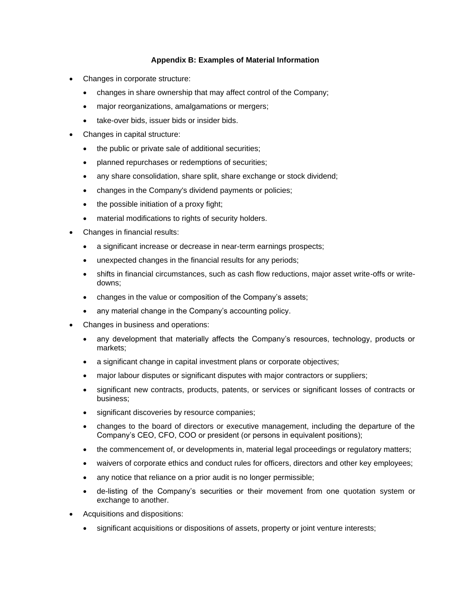## **Appendix B: Examples of Material Information**

- Changes in corporate structure:
	- changes in share ownership that may affect control of the Company;
	- major reorganizations, amalgamations or mergers;
	- take-over bids, issuer bids or insider bids.
- Changes in capital structure:
	- the public or private sale of additional securities;
	- planned repurchases or redemptions of securities;
	- any share consolidation, share split, share exchange or stock dividend;
	- changes in the Company's dividend payments or policies;
	- the possible initiation of a proxy fight;
	- material modifications to rights of security holders.
- Changes in financial results:
	- a significant increase or decrease in near-term earnings prospects;
	- unexpected changes in the financial results for any periods;
	- shifts in financial circumstances, such as cash flow reductions, major asset write-offs or writedowns;
	- changes in the value or composition of the Company's assets;
	- any material change in the Company's accounting policy.
- Changes in business and operations:
	- any development that materially affects the Company's resources, technology, products or markets;
	- a significant change in capital investment plans or corporate objectives;
	- major labour disputes or significant disputes with major contractors or suppliers;
	- significant new contracts, products, patents, or services or significant losses of contracts or business;
	- significant discoveries by resource companies;
	- changes to the board of directors or executive management, including the departure of the Company's CEO, CFO, COO or president (or persons in equivalent positions);
	- the commencement of, or developments in, material legal proceedings or regulatory matters;
	- waivers of corporate ethics and conduct rules for officers, directors and other key employees;
	- any notice that reliance on a prior audit is no longer permissible;
	- de-listing of the Company's securities or their movement from one quotation system or exchange to another.
- Acquisitions and dispositions:
	- significant acquisitions or dispositions of assets, property or joint venture interests;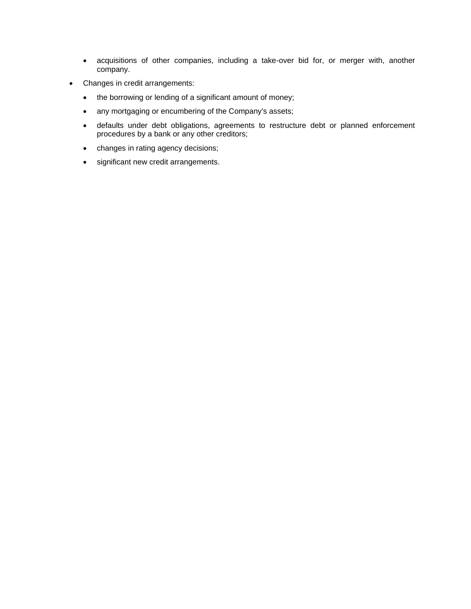- acquisitions of other companies, including a take-over bid for, or merger with, another company.
- Changes in credit arrangements:
	- the borrowing or lending of a significant amount of money;
	- any mortgaging or encumbering of the Company's assets;
	- defaults under debt obligations, agreements to restructure debt or planned enforcement procedures by a bank or any other creditors;
	- changes in rating agency decisions;
	- significant new credit arrangements.